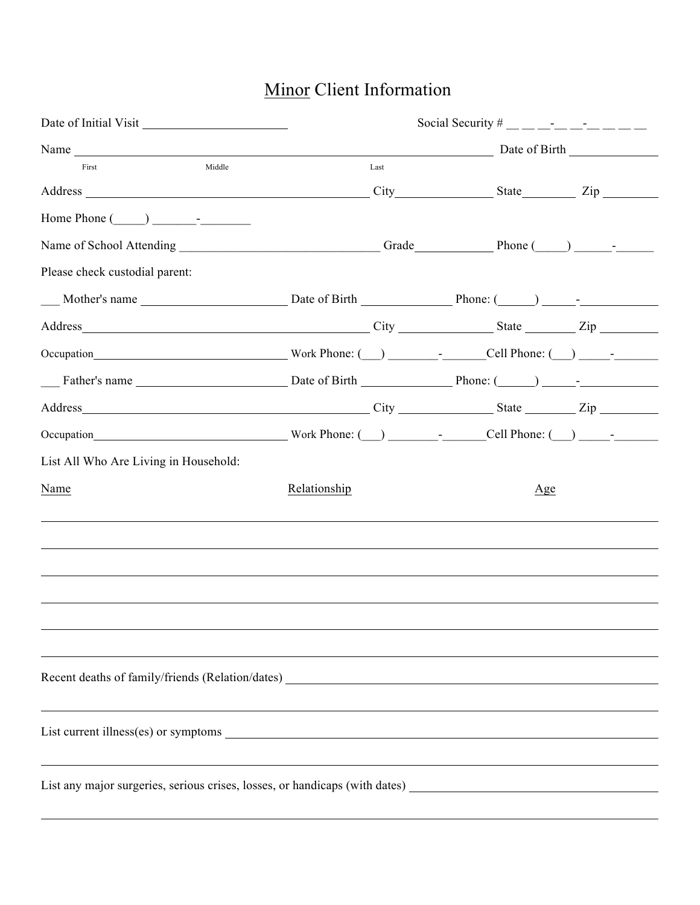## Minor Client Information

| Date of Initial Visit                                                                                                                                                                                                         |                                                                                  | Social Security # __ _ _ _ _ _ _ _ _ _ _ _ _ _ |  |  |
|-------------------------------------------------------------------------------------------------------------------------------------------------------------------------------------------------------------------------------|----------------------------------------------------------------------------------|------------------------------------------------|--|--|
|                                                                                                                                                                                                                               |                                                                                  | Name Date of Birth                             |  |  |
| Middle<br>First                                                                                                                                                                                                               | Last                                                                             |                                                |  |  |
| Address Zip                                                                                                                                                                                                                   |                                                                                  |                                                |  |  |
|                                                                                                                                                                                                                               |                                                                                  |                                                |  |  |
|                                                                                                                                                                                                                               |                                                                                  |                                                |  |  |
| Please check custodial parent:                                                                                                                                                                                                |                                                                                  |                                                |  |  |
|                                                                                                                                                                                                                               |                                                                                  |                                                |  |  |
|                                                                                                                                                                                                                               |                                                                                  |                                                |  |  |
| Occupation Mork Phone: (Call Phone: Coll Phone: Coll Phone: Coll Phone: (Call Phone: Coll Phone: Coll Phone: Coll Phone: Coll Phone: Coll Phone: Coll Phone: Coll Phone: Coll Phone: Coll Phone: Coll Phone: Coll Phone: Coll |                                                                                  |                                                |  |  |
| Father's name <b>Date of Birth</b> Phone: ( ) -                                                                                                                                                                               |                                                                                  |                                                |  |  |
| Address Zip                                                                                                                                                                                                                   |                                                                                  |                                                |  |  |
| Occupation Mork Phone: (Call Phone: Coll Phone: Coll Phone: Coll Phone: (Call Phone: Coll Phone: Coll Phone: Coll Phone: Coll Phone: Coll Phone: Coll Phone: Coll Phone: Coll Phone: Coll Phone: Coll Phone: Coll Phone: Coll |                                                                                  |                                                |  |  |
| List All Who Are Living in Household:                                                                                                                                                                                         |                                                                                  |                                                |  |  |
| Name                                                                                                                                                                                                                          | Relationship                                                                     | Age                                            |  |  |
|                                                                                                                                                                                                                               |                                                                                  |                                                |  |  |
|                                                                                                                                                                                                                               |                                                                                  |                                                |  |  |
|                                                                                                                                                                                                                               |                                                                                  |                                                |  |  |
|                                                                                                                                                                                                                               |                                                                                  |                                                |  |  |
|                                                                                                                                                                                                                               |                                                                                  |                                                |  |  |
|                                                                                                                                                                                                                               |                                                                                  |                                                |  |  |
|                                                                                                                                                                                                                               |                                                                                  |                                                |  |  |
|                                                                                                                                                                                                                               | ,我们也不会有什么。""我们的人,我们也不会有什么?""我们的人,我们也不会有什么?""我们的人,我们也不会有什么?""我们的人,我们也不会有什么?""我们的人 |                                                |  |  |
|                                                                                                                                                                                                                               |                                                                                  |                                                |  |  |
|                                                                                                                                                                                                                               |                                                                                  |                                                |  |  |